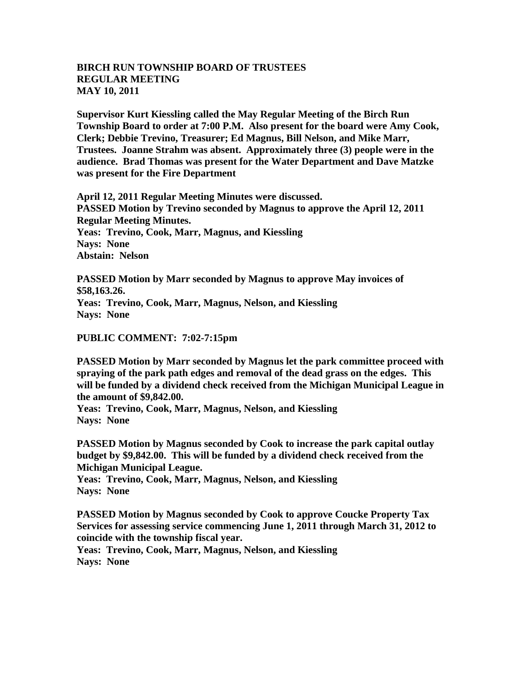## **BIRCH RUN TOWNSHIP BOARD OF TRUSTEES REGULAR MEETING MAY 10, 2011**

**Supervisor Kurt Kiessling called the May Regular Meeting of the Birch Run Township Board to order at 7:00 P.M. Also present for the board were Amy Cook, Clerk; Debbie Trevino, Treasurer; Ed Magnus, Bill Nelson, and Mike Marr, Trustees. Joanne Strahm was absent. Approximately three (3) people were in the audience. Brad Thomas was present for the Water Department and Dave Matzke was present for the Fire Department**

**April 12, 2011 Regular Meeting Minutes were discussed. PASSED Motion by Trevino seconded by Magnus to approve the April 12, 2011 Regular Meeting Minutes. Yeas: Trevino, Cook, Marr, Magnus, and Kiessling Nays: None Abstain: Nelson**

**PASSED Motion by Marr seconded by Magnus to approve May invoices of \$58,163.26. Yeas: Trevino, Cook, Marr, Magnus, Nelson, and Kiessling Nays: None**

**PUBLIC COMMENT: 7:02-7:15pm**

**PASSED Motion by Marr seconded by Magnus let the park committee proceed with spraying of the park path edges and removal of the dead grass on the edges. This will be funded by a dividend check received from the Michigan Municipal League in the amount of \$9,842.00.** 

**Yeas: Trevino, Cook, Marr, Magnus, Nelson, and Kiessling Nays: None**

**PASSED Motion by Magnus seconded by Cook to increase the park capital outlay budget by \$9,842.00. This will be funded by a dividend check received from the Michigan Municipal League.** 

**Yeas: Trevino, Cook, Marr, Magnus, Nelson, and Kiessling Nays: None**

**PASSED Motion by Magnus seconded by Cook to approve Coucke Property Tax Services for assessing service commencing June 1, 2011 through March 31, 2012 to coincide with the township fiscal year.** 

**Yeas: Trevino, Cook, Marr, Magnus, Nelson, and Kiessling Nays: None**